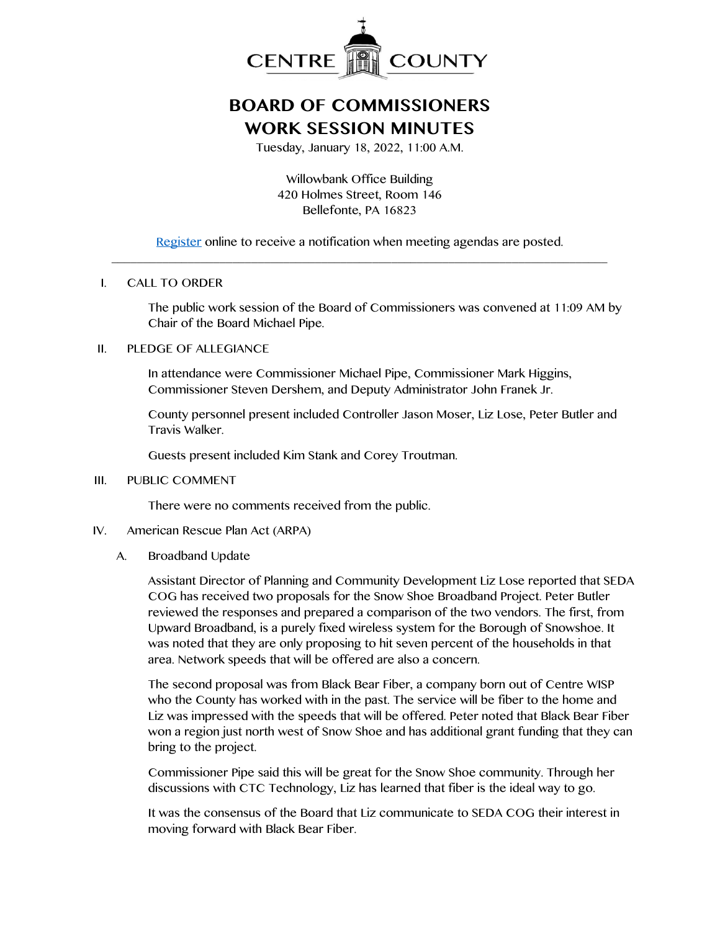

# **BOARD OF COMMISSIONERS WORK SESSION MINUTES**

Tuesday, January 18, 2022, 11:00 A.M.

Willowbank Office Building 420 Holmes Street, Room 146 Bellefonte, PA 16823

[Register](http://www.centrecountypa.gov/AgendaCenter) online to receive a notification when meeting agendas are posted. \_\_\_\_\_\_\_\_\_\_\_\_\_\_\_\_\_\_\_\_\_\_\_\_\_\_\_\_\_\_\_\_\_\_\_\_\_\_\_\_\_\_\_\_\_\_\_\_\_\_\_\_\_\_\_\_\_\_\_\_\_\_\_\_\_\_\_\_\_\_\_\_\_\_\_\_\_\_

### I. CALL TO ORDER

The public work session of the Board of Commissioners was convened at 11:09 AM by Chair of the Board Michael Pipe.

## II. PLEDGE OF ALLEGIANCE

In attendance were Commissioner Michael Pipe, Commissioner Mark Higgins, Commissioner Steven Dershem, and Deputy Administrator John Franek Jr.

County personnel present included Controller Jason Moser, Liz Lose, Peter Butler and Travis Walker.

Guests present included Kim Stank and Corey Troutman.

#### III. PUBLIC COMMENT

There were no comments received from the public.

## IV. American Rescue Plan Act (ARPA)

A. Broadband Update

Assistant Director of Planning and Community Development Liz Lose reported that SEDA COG has received two proposals for the Snow Shoe Broadband Project. Peter Butler reviewed the responses and prepared a comparison of the two vendors. The first, from Upward Broadband, is a purely fixed wireless system for the Borough of Snowshoe. It was noted that they are only proposing to hit seven percent of the households in that area. Network speeds that will be offered are also a concern.

The second proposal was from Black Bear Fiber, a company born out of Centre WISP who the County has worked with in the past. The service will be fiber to the home and Liz was impressed with the speeds that will be offered. Peter noted that Black Bear Fiber won a region just north west of Snow Shoe and has additional grant funding that they can bring to the project.

Commissioner Pipe said this will be great for the Snow Shoe community. Through her discussions with CTC Technology, Liz has learned that fiber is the ideal way to go.

It was the consensus of the Board that Liz communicate to SEDA COG their interest in moving forward with Black Bear Fiber.